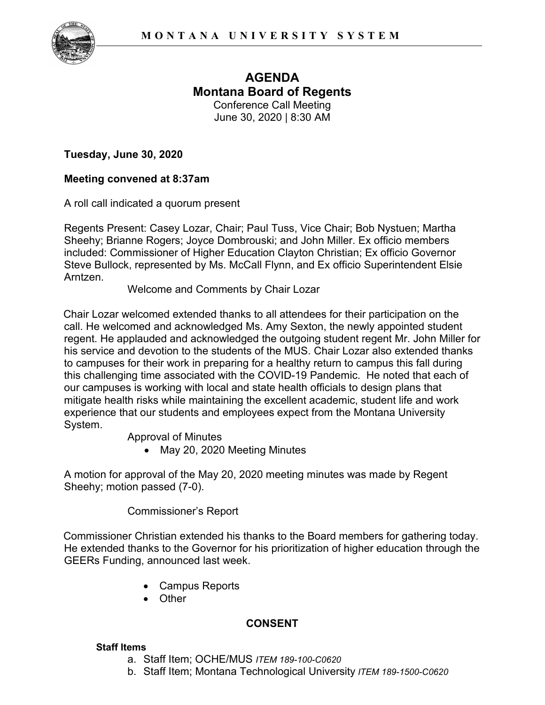

# **AGENDA Montana Board of Regents**  Conference Call Meeting

June 30, 2020 | 8:30 AM

**Tuesday, June 30, 2020**

## **Meeting convened at 8:37am**

A roll call indicated a quorum present

Regents Present: Casey Lozar, Chair; Paul Tuss, Vice Chair; Bob Nystuen; Martha Sheehy; Brianne Rogers; Joyce Dombrouski; and John Miller. Ex officio members included: Commissioner of Higher Education Clayton Christian; Ex officio Governor Steve Bullock, represented by Ms. McCall Flynn, and Ex officio Superintendent Elsie Arntzen.

Welcome and Comments by Chair Lozar

Chair Lozar welcomed extended thanks to all attendees for their participation on the call. He welcomed and acknowledged Ms. Amy Sexton, the newly appointed student regent. He applauded and acknowledged the outgoing student regent Mr. John Miller for his service and devotion to the students of the MUS. Chair Lozar also extended thanks to campuses for their work in preparing for a healthy return to campus this fall during this challenging time associated with the COVID-19 Pandemic. He noted that each of our campuses is working with local and state health officials to design plans that mitigate health risks while maintaining the excellent academic, student life and work experience that our students and employees expect from the Montana University System.

Approval of Minutes

• May 20, 2020 Meeting Minutes

A motion for approval of the May 20, 2020 meeting minutes was made by Regent Sheehy; motion passed (7-0).

Commissioner's Report

Commissioner Christian extended his thanks to the Board members for gathering today. He extended thanks to the Governor for his prioritization of higher education through the GEERs Funding, announced last week.

- Campus Reports
- Other

## **CONSENT**

#### **Staff Items**

- a. Staff Item; OCHE/MUS *ITEM 189-100-C0620*
- b. Staff Item; Montana Technological University *ITEM 189-1500-C0620*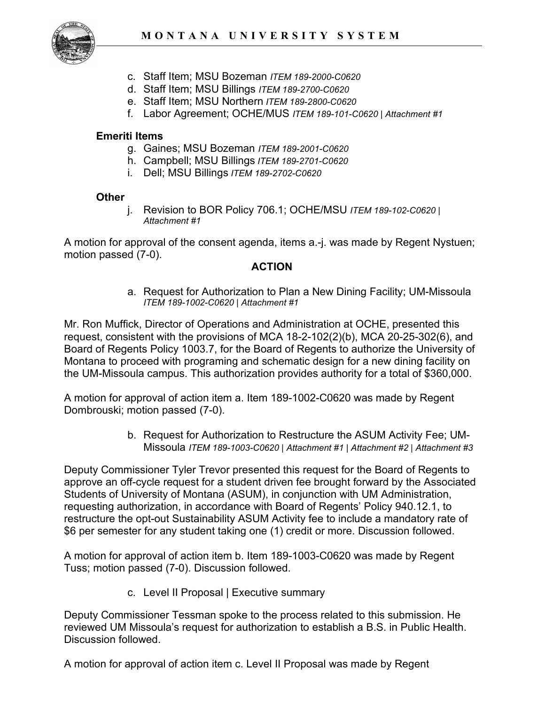- c. Staff Item; MSU Bozeman *ITEM 189-2000-C0620*
- d. Staff Item; MSU Billings *ITEM 189-2700-C0620*
- e. Staff Item; MSU Northern *ITEM 189-2800-C0620*
- f. Labor Agreement; OCHE/MUS *ITEM 189-101-C0620 | Attachment #1*

### **Emeriti Items**

- g. Gaines; MSU Bozeman *ITEM 189-2001-C0620*
- h. Campbell; MSU Billings *ITEM 189-2701-C0620*
- i. Dell; MSU Billings *ITEM 189-2702-C0620*

#### **Other**

j. Revision to BOR Policy 706.1; OCHE/MSU *ITEM 189-102-C0620 | Attachment #1*

A motion for approval of the consent agenda, items a.-j. was made by Regent Nystuen; motion passed (7-0).

## **ACTION**

a. Request for Authorization to Plan a New Dining Facility; UM-Missoula *ITEM 189-1002-C0620 | Attachment #1*

Mr. Ron Muffick, Director of Operations and Administration at OCHE, presented this request, consistent with the provisions of MCA 18-2-102(2)(b), MCA 20-25-302(6), and Board of Regents Policy 1003.7, for the Board of Regents to authorize the University of Montana to proceed with programing and schematic design for a new dining facility on the UM-Missoula campus. This authorization provides authority for a total of \$360,000.

A motion for approval of action item a. Item 189-1002-C0620 was made by Regent Dombrouski; motion passed (7-0).

> b. Request for Authorization to Restructure the ASUM Activity Fee; UM-Missoula *ITEM 189-1003-C0620 | Attachment #1 | Attachment #2 | Attachment #3*

Deputy Commissioner Tyler Trevor presented this request for the Board of Regents to approve an off-cycle request for a student driven fee brought forward by the Associated Students of University of Montana (ASUM), in conjunction with UM Administration, requesting authorization, in accordance with Board of Regents' Policy 940.12.1, to restructure the opt-out Sustainability ASUM Activity fee to include a mandatory rate of \$6 per semester for any student taking one (1) credit or more. Discussion followed.

A motion for approval of action item b. Item 189-1003-C0620 was made by Regent Tuss; motion passed (7-0). Discussion followed.

c. Level II Proposal | Executive summary

Deputy Commissioner Tessman spoke to the process related to this submission. He reviewed UM Missoula's request for authorization to establish a B.S. in Public Health. Discussion followed.

A motion for approval of action item c. Level II Proposal was made by Regent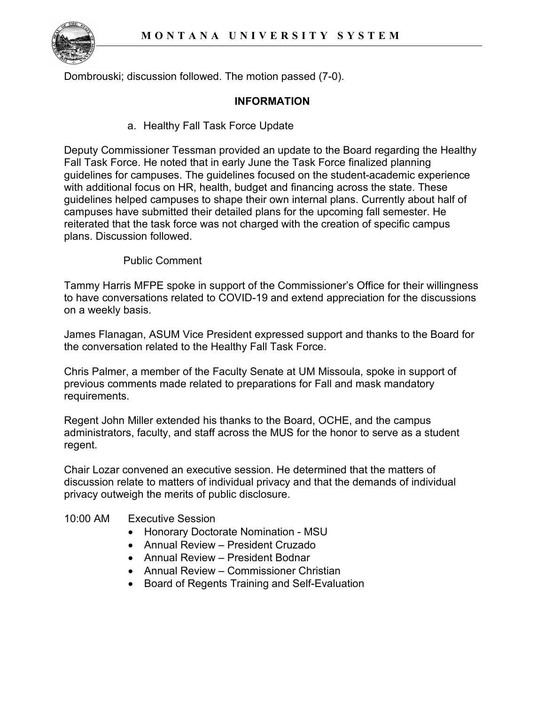

Dombrouski; discussion followed. The motion passed (7-0).

#### **INFORMATION**

a. Healthy Fall Task Force Update

Deputy Commissioner Tessman provided an update to the Board regarding the Healthy Fall Task Force. He noted that in early June the Task Force finalized planning guidelines for campuses. The guidelines focused on the student-academic experience with additional focus on HR, health, budget and financing across the state. These guidelines helped campuses to shape their own internal plans. Currently about half of campuses have submitted their detailed plans for the upcoming fall semester. He reiterated that the task force was not charged with the creation of specific campus plans. Discussion followed.

## Public Comment

Tammy Harris MFPE spoke in support of the Commissioner's Office for their willingness to have conversations related to COVID-19 and extend appreciation for the discussions on a weekly basis.

James Flanagan, ASUM Vice President expressed support and thanks to the Board for the conversation related to the Healthy Fall Task Force.

Chris Palmer, a member of the Faculty Senate at UM Missoula, spoke in support of previous comments made related to preparations for Fall and mask mandatory requirements.

Regent John Miller extended his thanks to the Board, OCHE, and the campus administrators, faculty, and staff across the MUS for the honor to serve as a student regent.

Chair Lozar convened an executive session. He determined that the matters of discussion relate to matters of individual privacy and that the demands of individual privacy outweigh the merits of public disclosure.

#### 10:00 AM Executive Session

- Honorary Doctorate Nomination MSU
- Annual Review President Cruzado
- Annual Review President Bodnar
- Annual Review Commissioner Christian
- Board of Regents Training and Self-Evaluation